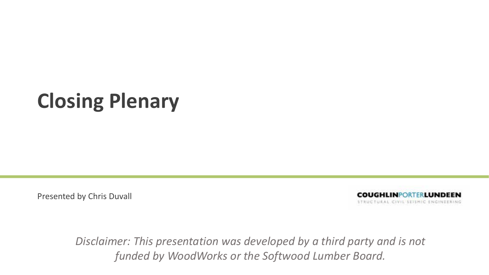# **Closing Plenary**

Presented by Chris Duvall

**COUGHLINPORTERLUNDEEN** STRUCTURAL CIVIL SEISMIC ENGINEERING

*Disclaimer: This presentation was developed by a third party and is not funded by WoodWorks or the Softwood Lumber Board.*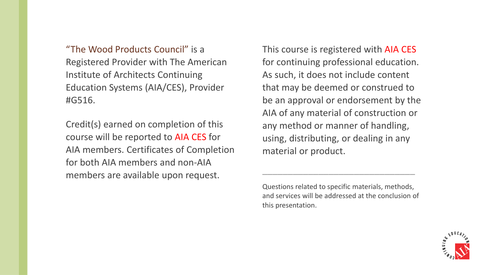"The Wood Products Council" is a Registered Provider with The American Institute of Architects Continuing Education Systems (AIA/CES), Provider #G516.

Credit(s) earned on completion of this course will be reported to AIA CES for AIA members. Certificates of Completion for both AIA members and non‐AIA members are available upon request.

This course is registered with AIA CES for continuing professional education. As such, it does not include content that may be deemed or construed to be an approval or endorsement by the AIA of any material of construction or any method or manner of handling, using, distributing, or dealing in any material or product.

Questions related to specific materials, methods, and services will be addressed at the conclusion of this presentation.

\_\_\_\_\_\_\_\_\_\_\_\_\_\_\_\_\_\_\_\_\_\_\_\_\_\_\_\_\_\_

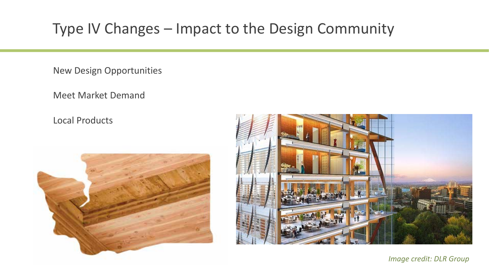New Design Opportunities

Meet Market Demand

Local Products





*Image credit: DLR Group*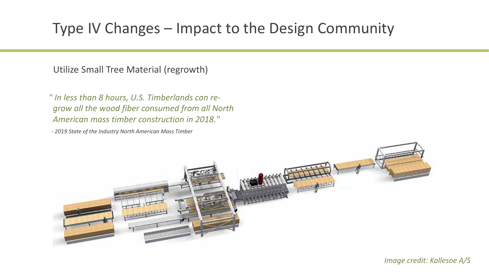Utilize Small Tree Material (regrowth)

*" In less than 8 hours, U.S. Timberlands can re‐ grow all the wood fiber consumed from all North American mass timber construction in 2018."*

*‐ 2019 State of the Industry North American Mass Timber*

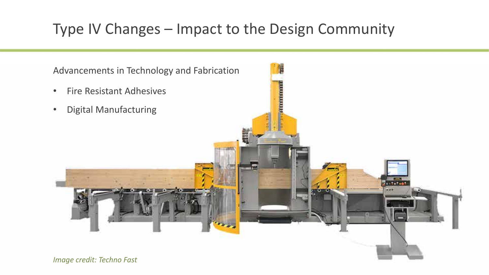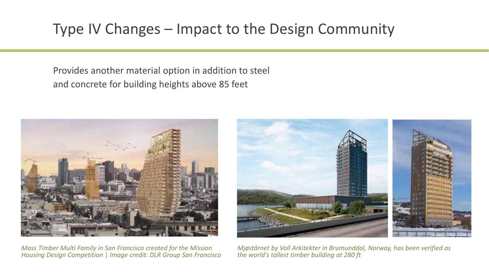Provides another material option in addition to steel and concrete for building heights above 85 feet



*Mass Timber Multi Family in San Francisco created for the Mission Housing Design Competition* | *Image credit: DLR Group San Francisco*



*Mjøstårnet by Voll Arkitekter in Brumunddal, Norway, has been verified as the world's tallest timber building at 280 ft*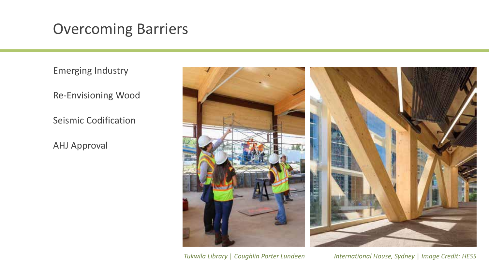## Overcoming Barriers

Emerging Industry

Re‐Envisioning Wood

Seismic Codification

AHJ Approval



*Tukwila Library* | *Coughlin Porter Lundeen International House, Sydney* | *Image Credit: HESS*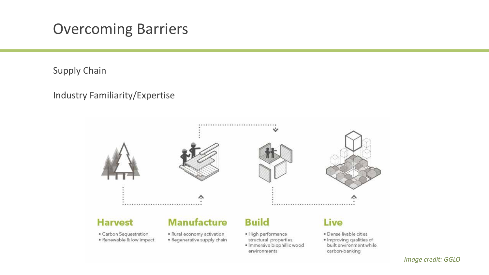### Overcoming Barriers

Supply Chain

### Industry Familiarity/Expertise

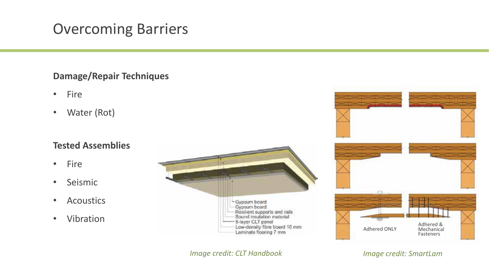# Overcoming Barriers

#### **Damage/Repair Techniques**

- $\bullet$ • Fire
- $\bullet$ Water (Rot)

#### **Tested Assemblies**

- $\bullet$ • Fire
- •• Seismic
- $\bullet$ Acoustics
- •Vibration





*Image credit: CLT Handbook Image credit: SmartLam*